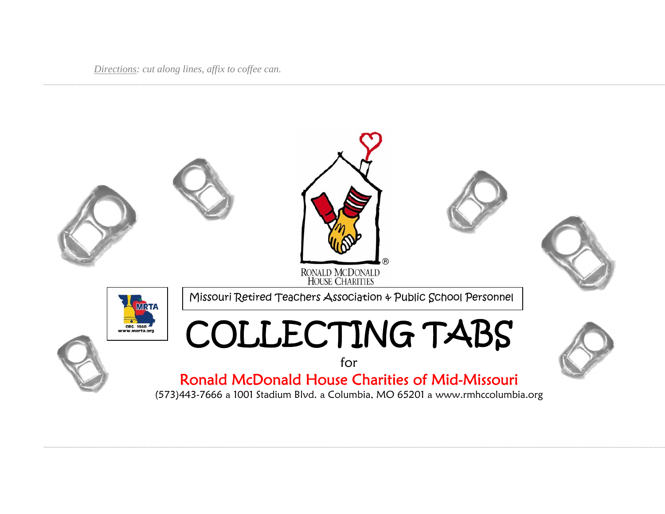*Directions: cut along lines, affix to coffee can.*